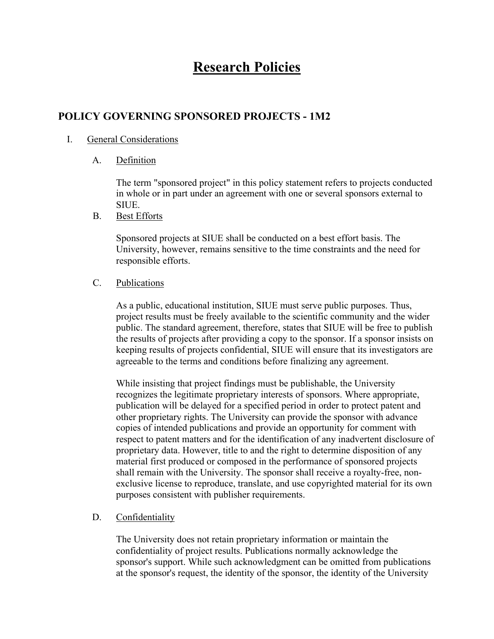# **Research Policies**

## **POLICY GOVERNING SPONSORED PROJECTS - 1M2**

### I. General Considerations

A. Definition

The term "sponsored project" in this policy statement refers to projects conducted in whole or in part under an agreement with one or several sponsors external to SIUE.

B. Best Efforts

Sponsored projects at SIUE shall be conducted on a best effort basis. The University, however, remains sensitive to the time constraints and the need for responsible efforts.

#### C. Publications

As a public, educational institution, SIUE must serve public purposes. Thus, project results must be freely available to the scientific community and the wider public. The standard agreement, therefore, states that SIUE will be free to publish the results of projects after providing a copy to the sponsor. If a sponsor insists on keeping results of projects confidential, SIUE will ensure that its investigators are agreeable to the terms and conditions before finalizing any agreement.

While insisting that project findings must be publishable, the University recognizes the legitimate proprietary interests of sponsors. Where appropriate, publication will be delayed for a specified period in order to protect patent and other proprietary rights. The University can provide the sponsor with advance copies of intended publications and provide an opportunity for comment with respect to patent matters and for the identification of any inadvertent disclosure of proprietary data. However, title to and the right to determine disposition of any material first produced or composed in the performance of sponsored projects shall remain with the University. The sponsor shall receive a royalty-free, nonexclusive license to reproduce, translate, and use copyrighted material for its own purposes consistent with publisher requirements.

## D. Confidentiality

The University does not retain proprietary information or maintain the confidentiality of project results. Publications normally acknowledge the sponsor's support. While such acknowledgment can be omitted from publications at the sponsor's request, the identity of the sponsor, the identity of the University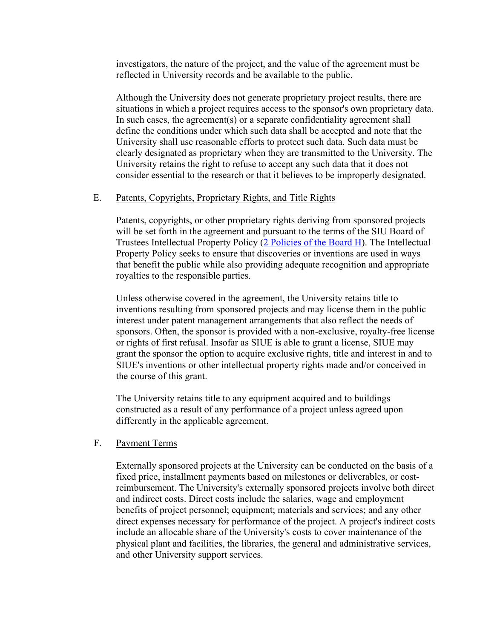investigators, the nature of the project, and the value of the agreement must be reflected in University records and be available to the public.

Although the University does not generate proprietary project results, there are situations in which a project requires access to the sponsor's own proprietary data. In such cases, the agreement(s) or a separate confidentiality agreement shall define the conditions under which such data shall be accepted and note that the University shall use reasonable efforts to protect such data. Such data must be clearly designated as proprietary when they are transmitted to the University. The University retains the right to refuse to accept any such data that it does not consider essential to the research or that it believes to be improperly designated.

#### E. Patents, Copyrights, Proprietary Rights, and Title Rights

Patents, copyrights, or other proprietary rights deriving from sponsored projects will be set forth in the agreement and pursuant to the terms of the SIU Board of Trustees Intellectual Property Policy (2 Policies of the Board H). The Intellectual Property Policy seeks to ensure that discoveries or inventions are used in ways that benefit the public while also providing adequate recognition and appropriate royalties to the responsible parties.

Unless otherwise covered in the agreement, the University retains title to inventions resulting from sponsored projects and may license them in the public interest under patent management arrangements that also reflect the needs of sponsors. Often, the sponsor is provided with a non-exclusive, royalty-free license or rights of first refusal. Insofar as SIUE is able to grant a license, SIUE may grant the sponsor the option to acquire exclusive rights, title and interest in and to SIUE's inventions or other intellectual property rights made and/or conceived in the course of this grant.

The University retains title to any equipment acquired and to buildings constructed as a result of any performance of a project unless agreed upon differently in the applicable agreement.

## F. Payment Terms

Externally sponsored projects at the University can be conducted on the basis of a fixed price, installment payments based on milestones or deliverables, or costreimbursement. The University's externally sponsored projects involve both direct and indirect costs. Direct costs include the salaries, wage and employment benefits of project personnel; equipment; materials and services; and any other direct expenses necessary for performance of the project. A project's indirect costs include an allocable share of the University's costs to cover maintenance of the physical plant and facilities, the libraries, the general and administrative services, and other University support services.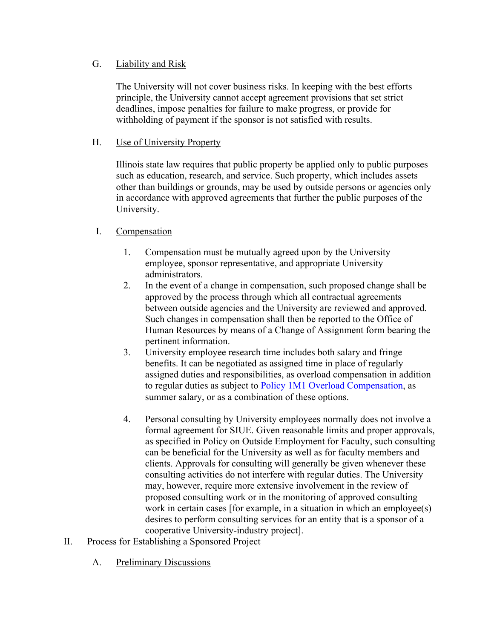## G. Liability and Risk

The University will not cover business risks. In keeping with the best efforts principle, the University cannot accept agreement provisions that set strict deadlines, impose penalties for failure to make progress, or provide for withholding of payment if the sponsor is not satisfied with results.

## H. Use of University Property

Illinois state law requires that public property be applied only to public purposes such as education, research, and service. Such property, which includes assets other than buildings or grounds, may be used by outside persons or agencies only in accordance with approved agreements that further the public purposes of the University.

## I. Compensation

- 1. Compensation must be mutually agreed upon by the University employee, sponsor representative, and appropriate University administrators.
- 2. In the event of a change in compensation, such proposed change shall be approved by the process through which all contractual agreements between outside agencies and the University are reviewed and approved. Such changes in compensation shall then be reported to the Office of Human Resources by means of a Change of Assignment form bearing the pertinent information.
- 3. University employee research time includes both salary and fringe benefits. It can be negotiated as assigned time in place of regularly assigned duties and responsibilities, as overload compensation in addition to regular duties as subject to Policy 1M1 Overload Compensation, as summer salary, or as a combination of these options.
- 4. Personal consulting by University employees normally does not involve a formal agreement for SIUE. Given reasonable limits and proper approvals, as specified in Policy on Outside Employment for Faculty, such consulting can be beneficial for the University as well as for faculty members and clients. Approvals for consulting will generally be given whenever these consulting activities do not interfere with regular duties. The University may, however, require more extensive involvement in the review of proposed consulting work or in the monitoring of approved consulting work in certain cases [for example, in a situation in which an employee(s) desires to perform consulting services for an entity that is a sponsor of a cooperative University-industry project].
- II. Process for Establishing a Sponsored Project
	- A. Preliminary Discussions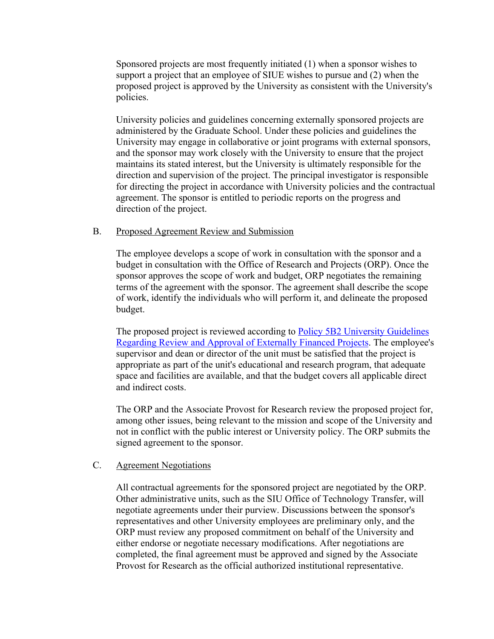Sponsored projects are most frequently initiated (1) when a sponsor wishes to support a project that an employee of SIUE wishes to pursue and (2) when the proposed project is approved by the University as consistent with the University's policies.

University policies and guidelines concerning externally sponsored projects are administered by the Graduate School. Under these policies and guidelines the University may engage in collaborative or joint programs with external sponsors, and the sponsor may work closely with the University to ensure that the project maintains its stated interest, but the University is ultimately responsible for the direction and supervision of the project. The principal investigator is responsible for directing the project in accordance with University policies and the contractual agreement. The sponsor is entitled to periodic reports on the progress and direction of the project.

#### B. Proposed Agreement Review and Submission

The employee develops a scope of work in consultation with the sponsor and a budget in consultation with the Office of Research and Projects (ORP). Once the sponsor approves the scope of work and budget, ORP negotiates the remaining terms of the agreement with the sponsor. The agreement shall describe the scope of work, identify the individuals who will perform it, and delineate the proposed budget.

The proposed project is reviewed according to Policy 5B2 University Guidelines Regarding Review and Approval of Externally Financed Projects. The employee's supervisor and dean or director of the unit must be satisfied that the project is appropriate as part of the unit's educational and research program, that adequate space and facilities are available, and that the budget covers all applicable direct and indirect costs.

The ORP and the Associate Provost for Research review the proposed project for, among other issues, being relevant to the mission and scope of the University and not in conflict with the public interest or University policy. The ORP submits the signed agreement to the sponsor.

#### C. Agreement Negotiations

All contractual agreements for the sponsored project are negotiated by the ORP. Other administrative units, such as the SIU Office of Technology Transfer, will negotiate agreements under their purview. Discussions between the sponsor's representatives and other University employees are preliminary only, and the ORP must review any proposed commitment on behalf of the University and either endorse or negotiate necessary modifications. After negotiations are completed, the final agreement must be approved and signed by the Associate Provost for Research as the official authorized institutional representative.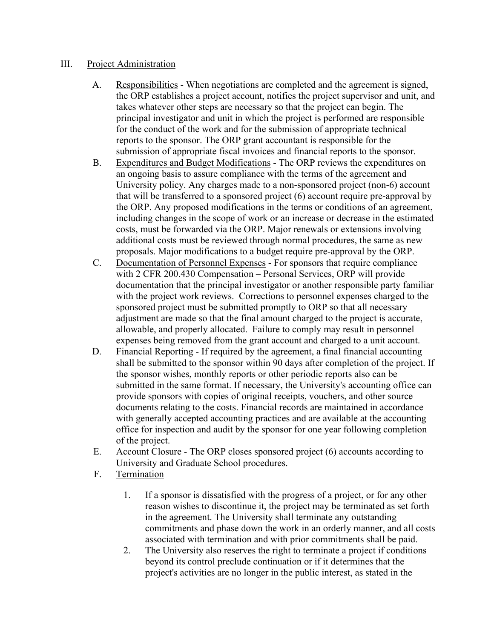### III. Project Administration

- A. Responsibilities When negotiations are completed and the agreement is signed, the ORP establishes a project account, notifies the project supervisor and unit, and takes whatever other steps are necessary so that the project can begin. The principal investigator and unit in which the project is performed are responsible for the conduct of the work and for the submission of appropriate technical reports to the sponsor. The ORP grant accountant is responsible for the submission of appropriate fiscal invoices and financial reports to the sponsor.
- B. Expenditures and Budget Modifications The ORP reviews the expenditures on an ongoing basis to assure compliance with the terms of the agreement and University policy. Any charges made to a non-sponsored project (non-6) account that will be transferred to a sponsored project (6) account require pre-approval by the ORP. Any proposed modifications in the terms or conditions of an agreement, including changes in the scope of work or an increase or decrease in the estimated costs, must be forwarded via the ORP. Major renewals or extensions involving additional costs must be reviewed through normal procedures, the same as new proposals. Major modifications to a budget require pre-approval by the ORP.
- C. Documentation of Personnel Expenses For sponsors that require compliance with 2 CFR 200.430 Compensation – Personal Services, ORP will provide documentation that the principal investigator or another responsible party familiar with the project work reviews. Corrections to personnel expenses charged to the sponsored project must be submitted promptly to ORP so that all necessary adjustment are made so that the final amount charged to the project is accurate, allowable, and properly allocated. Failure to comply may result in personnel expenses being removed from the grant account and charged to a unit account.
- D. Financial Reporting If required by the agreement, a final financial accounting shall be submitted to the sponsor within 90 days after completion of the project. If the sponsor wishes, monthly reports or other periodic reports also can be submitted in the same format. If necessary, the University's accounting office can provide sponsors with copies of original receipts, vouchers, and other source documents relating to the costs. Financial records are maintained in accordance with generally accepted accounting practices and are available at the accounting office for inspection and audit by the sponsor for one year following completion of the project.
- E. Account Closure The ORP closes sponsored project (6) accounts according to University and Graduate School procedures.
- F. Termination
	- 1. If a sponsor is dissatisfied with the progress of a project, or for any other reason wishes to discontinue it, the project may be terminated as set forth in the agreement. The University shall terminate any outstanding commitments and phase down the work in an orderly manner, and all costs associated with termination and with prior commitments shall be paid.
	- 2. The University also reserves the right to terminate a project if conditions beyond its control preclude continuation or if it determines that the project's activities are no longer in the public interest, as stated in the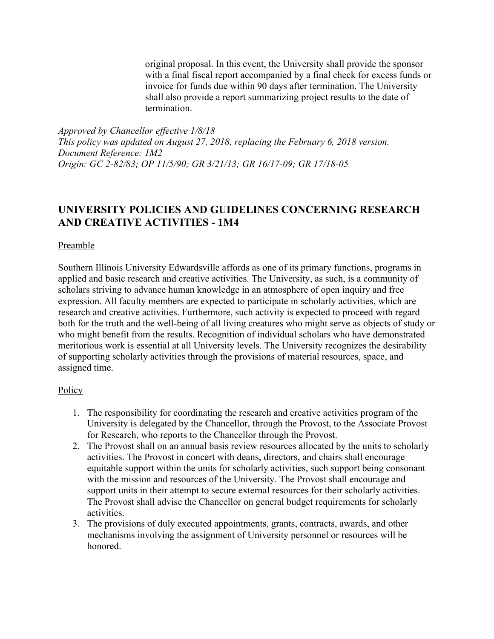original proposal. In this event, the University shall provide the sponsor with a final fiscal report accompanied by a final check for excess funds or invoice for funds due within 90 days after termination. The University shall also provide a report summarizing project results to the date of termination.

*Approved by Chancellor effective 1/8/18 This policy was updated on August 27, 2018, replacing the February 6, 2018 version. Document Reference: 1M2 Origin: GC 2-82/83; OP 11/5/90; GR 3/21/13; GR 16/17-09; GR 17/18-05*

## **UNIVERSITY POLICIES AND GUIDELINES CONCERNING RESEARCH AND CREATIVE ACTIVITIES - 1M4**

#### Preamble

Southern Illinois University Edwardsville affords as one of its primary functions, programs in applied and basic research and creative activities. The University, as such, is a community of scholars striving to advance human knowledge in an atmosphere of open inquiry and free expression. All faculty members are expected to participate in scholarly activities, which are research and creative activities. Furthermore, such activity is expected to proceed with regard both for the truth and the well-being of all living creatures who might serve as objects of study or who might benefit from the results. Recognition of individual scholars who have demonstrated meritorious work is essential at all University levels. The University recognizes the desirability of supporting scholarly activities through the provisions of material resources, space, and assigned time.

#### **Policy**

- 1. The responsibility for coordinating the research and creative activities program of the University is delegated by the Chancellor, through the Provost, to the Associate Provost for Research, who reports to the Chancellor through the Provost.
- 2. The Provost shall on an annual basis review resources allocated by the units to scholarly activities. The Provost in concert with deans, directors, and chairs shall encourage equitable support within the units for scholarly activities, such support being consonant with the mission and resources of the University. The Provost shall encourage and support units in their attempt to secure external resources for their scholarly activities. The Provost shall advise the Chancellor on general budget requirements for scholarly activities.
- 3. The provisions of duly executed appointments, grants, contracts, awards, and other mechanisms involving the assignment of University personnel or resources will be honored.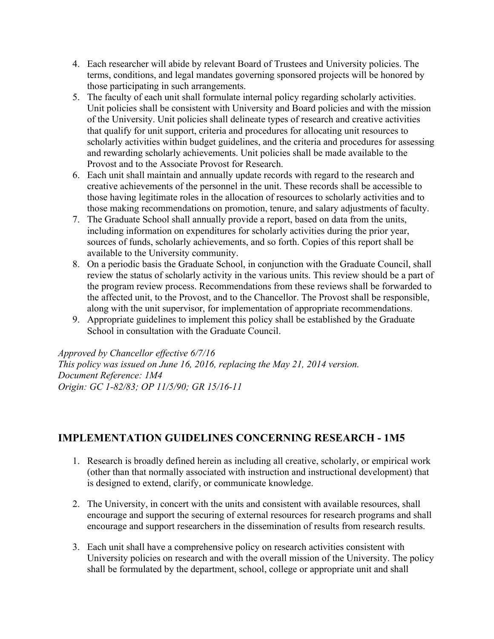- 4. Each researcher will abide by relevant Board of Trustees and University policies. The terms, conditions, and legal mandates governing sponsored projects will be honored by those participating in such arrangements.
- 5. The faculty of each unit shall formulate internal policy regarding scholarly activities. Unit policies shall be consistent with University and Board policies and with the mission of the University. Unit policies shall delineate types of research and creative activities that qualify for unit support, criteria and procedures for allocating unit resources to scholarly activities within budget guidelines, and the criteria and procedures for assessing and rewarding scholarly achievements. Unit policies shall be made available to the Provost and to the Associate Provost for Research.
- 6. Each unit shall maintain and annually update records with regard to the research and creative achievements of the personnel in the unit. These records shall be accessible to those having legitimate roles in the allocation of resources to scholarly activities and to those making recommendations on promotion, tenure, and salary adjustments of faculty.
- 7. The Graduate School shall annually provide a report, based on data from the units, including information on expenditures for scholarly activities during the prior year, sources of funds, scholarly achievements, and so forth. Copies of this report shall be available to the University community.
- 8. On a periodic basis the Graduate School, in conjunction with the Graduate Council, shall review the status of scholarly activity in the various units. This review should be a part of the program review process. Recommendations from these reviews shall be forwarded to the affected unit, to the Provost, and to the Chancellor. The Provost shall be responsible, along with the unit supervisor, for implementation of appropriate recommendations.
- 9. Appropriate guidelines to implement this policy shall be established by the Graduate School in consultation with the Graduate Council.

*Approved by Chancellor effective 6/7/16 This policy was issued on June 16, 2016, replacing the May 21, 2014 version. Document Reference: 1M4 Origin: GC 1-82/83; OP 11/5/90; GR 15/16-11*

## **IMPLEMENTATION GUIDELINES CONCERNING RESEARCH - 1M5**

- 1. Research is broadly defined herein as including all creative, scholarly, or empirical work (other than that normally associated with instruction and instructional development) that is designed to extend, clarify, or communicate knowledge.
- 2. The University, in concert with the units and consistent with available resources, shall encourage and support the securing of external resources for research programs and shall encourage and support researchers in the dissemination of results from research results.
- 3. Each unit shall have a comprehensive policy on research activities consistent with University policies on research and with the overall mission of the University. The policy shall be formulated by the department, school, college or appropriate unit and shall